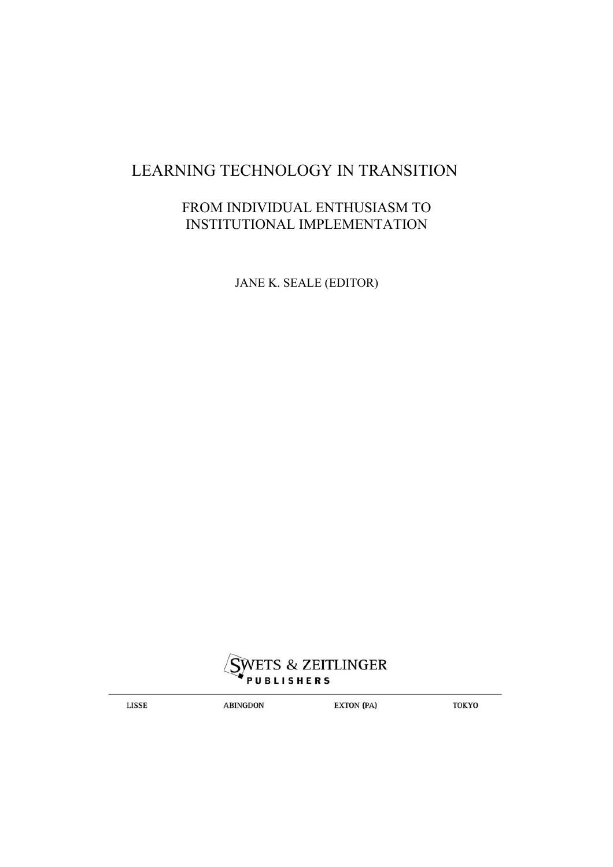## LEARNING TECHNOLOGY IN TRANSITION

### FROM INDIVIDUAL ENTHUSIASM TO INSTITUTIONAL IMPLEMENTATION

JANE K. SEALE (EDITOR)



**LISSE** 

**ABINGDON** 

**EXTON (PA)** 

**TOKYO**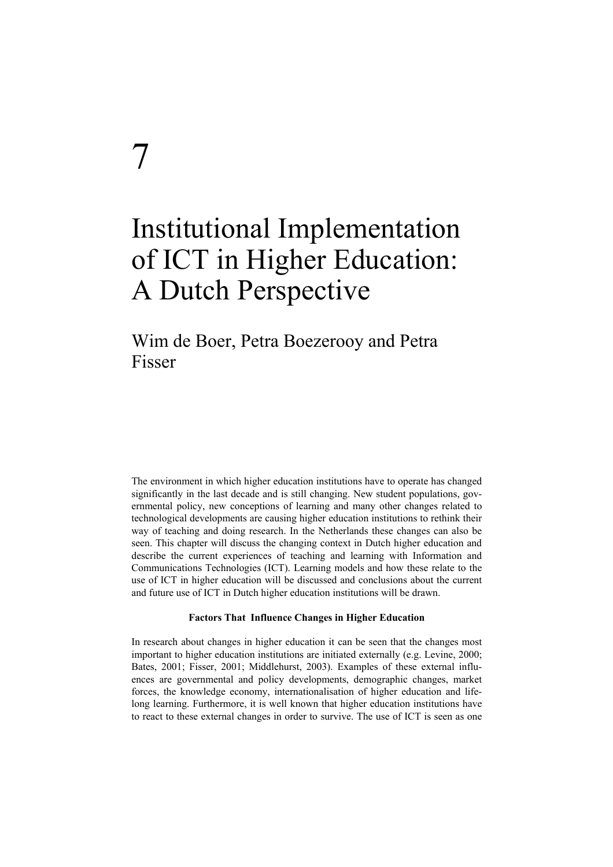# 7

## Institutional Implementation of ICT in Higher Education: A Dutch Perspective

## Wim de Boer, Petra Boezerooy and Petra Fisser

The environment in which higher education institutions have to operate has changed significantly in the last decade and is still changing. New student populations, governmental policy, new conceptions of learning and many other changes related to technological developments are causing higher education institutions to rethink their way of teaching and doing research. In the Netherlands these changes can also be seen. This chapter will discuss the changing context in Dutch higher education and describe the current experiences of teaching and learning with Information and Communications Technologies (ICT). Learning models and how these relate to the use of ICT in higher education will be discussed and conclusions about the current and future use of ICT in Dutch higher education institutions will be drawn.

#### **Factors That Influence Changes in Higher Education**

In research about changes in higher education it can be seen that the changes most important to higher education institutions are initiated externally (e.g. Levine, 2000; Bates, 2001; Fisser, 2001; Middlehurst, 2003). Examples of these external influences are governmental and policy developments, demographic changes, market forces, the knowledge economy, internationalisation of higher education and lifelong learning. Furthermore, it is well known that higher education institutions have to react to these external changes in order to survive. The use of ICT is seen as one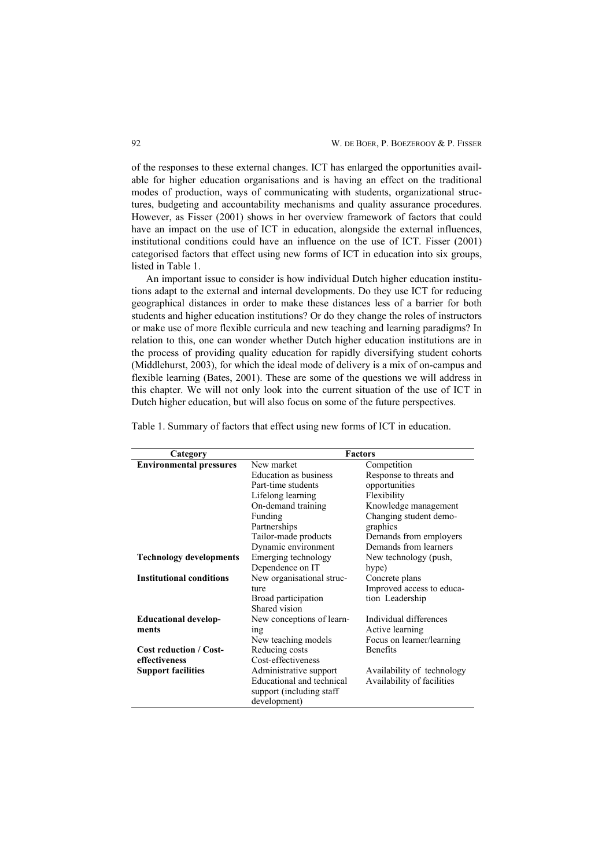of the responses to these external changes. ICT has enlarged the opportunities available for higher education organisations and is having an effect on the traditional modes of production, ways of communicating with students, organizational structures, budgeting and accountability mechanisms and quality assurance procedures. However, as Fisser (2001) shows in her overview framework of factors that could have an impact on the use of ICT in education, alongside the external influences, institutional conditions could have an influence on the use of ICT. Fisser (2001) categorised factors that effect using new forms of ICT in education into six groups, listed in Table 1.

An important issue to consider is how individual Dutch higher education institutions adapt to the external and internal developments. Do they use ICT for reducing geographical distances in order to make these distances less of a barrier for both students and higher education institutions? Or do they change the roles of instructors or make use of more flexible curricula and new teaching and learning paradigms? In relation to this, one can wonder whether Dutch higher education institutions are in the process of providing quality education for rapidly diversifying student cohorts (Middlehurst, 2003), for which the ideal mode of delivery is a mix of on-campus and flexible learning (Bates, 2001). These are some of the questions we will address in this chapter. We will not only look into the current situation of the use of ICT in Dutch higher education, but will also focus on some of the future perspectives.

| Category                        | <b>Factors</b>               |                            |
|---------------------------------|------------------------------|----------------------------|
| <b>Environmental pressures</b>  | New market                   | Competition                |
|                                 | <b>Education as business</b> | Response to threats and    |
|                                 | Part-time students           | opportunities              |
|                                 | Lifelong learning            | Flexibility                |
|                                 | On-demand training           | Knowledge management       |
|                                 | Funding                      | Changing student demo-     |
|                                 | Partnerships                 | graphics                   |
|                                 | Tailor-made products         | Demands from employers     |
|                                 | Dynamic environment          | Demands from learners      |
| <b>Technology developments</b>  | Emerging technology          | New technology (push,      |
|                                 | Dependence on IT             | hype)                      |
| <b>Institutional conditions</b> | New organisational struc-    | Concrete plans             |
|                                 | ture                         | Improved access to educa-  |
|                                 | Broad participation          | tion Leadership            |
|                                 | Shared vision                |                            |
| <b>Educational develop-</b>     | New conceptions of learn-    | Individual differences     |
| ments                           | ing                          | Active learning            |
|                                 | New teaching models          | Focus on learner/learning  |
| <b>Cost reduction / Cost-</b>   | Reducing costs               | <b>Benefits</b>            |
| effectiveness                   | Cost-effectiveness           |                            |
| <b>Support facilities</b>       | Administrative support       | Availability of technology |
|                                 | Educational and technical    | Availability of facilities |
|                                 | support (including staff     |                            |
|                                 | development)                 |                            |

Table 1. Summary of factors that effect using new forms of ICT in education.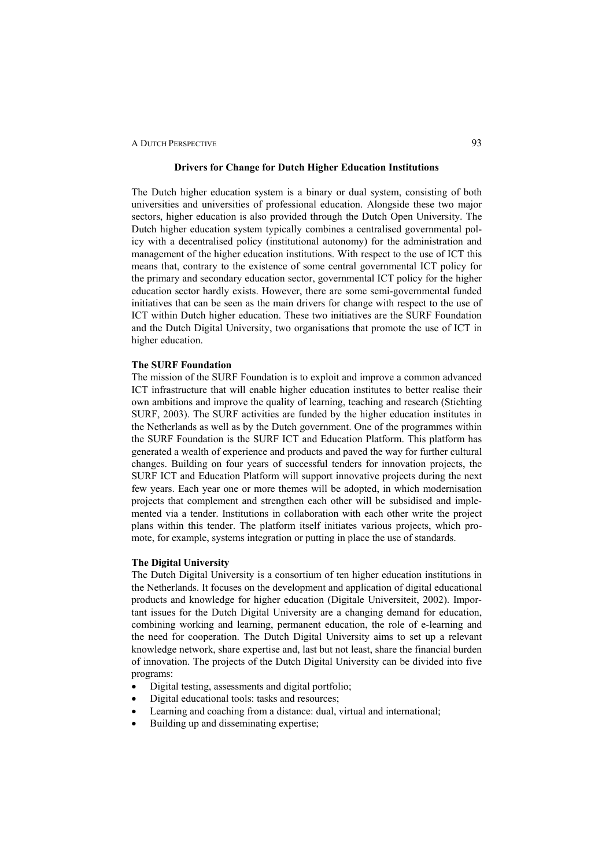#### **Drivers for Change for Dutch Higher Education Institutions**

The Dutch higher education system is a binary or dual system, consisting of both universities and universities of professional education. Alongside these two major sectors, higher education is also provided through the Dutch Open University. The Dutch higher education system typically combines a centralised governmental policy with a decentralised policy (institutional autonomy) for the administration and management of the higher education institutions. With respect to the use of ICT this means that, contrary to the existence of some central governmental ICT policy for the primary and secondary education sector, governmental ICT policy for the higher education sector hardly exists. However, there are some semi-governmental funded initiatives that can be seen as the main drivers for change with respect to the use of ICT within Dutch higher education. These two initiatives are the SURF Foundation and the Dutch Digital University, two organisations that promote the use of ICT in higher education.

#### **The SURF Foundation**

The mission of the SURF Foundation is to exploit and improve a common advanced ICT infrastructure that will enable higher education institutes to better realise their own ambitions and improve the quality of learning, teaching and research (Stichting SURF, 2003). The SURF activities are funded by the higher education institutes in the Netherlands as well as by the Dutch government. One of the programmes within the SURF Foundation is the SURF ICT and Education Platform. This platform has generated a wealth of experience and products and paved the way for further cultural changes. Building on four years of successful tenders for innovation projects, the SURF ICT and Education Platform will support innovative projects during the next few years. Each year one or more themes will be adopted, in which modernisation projects that complement and strengthen each other will be subsidised and implemented via a tender. Institutions in collaboration with each other write the project plans within this tender. The platform itself initiates various projects, which promote, for example, systems integration or putting in place the use of standards.

#### **The Digital University**

The Dutch Digital University is a consortium of ten higher education institutions in the Netherlands. It focuses on the development and application of digital educational products and knowledge for higher education (Digitale Universiteit, 2002). Important issues for the Dutch Digital University are a changing demand for education, combining working and learning, permanent education, the role of e-learning and the need for cooperation. The Dutch Digital University aims to set up a relevant knowledge network, share expertise and, last but not least, share the financial burden of innovation. The projects of the Dutch Digital University can be divided into five programs:

- Digital testing, assessments and digital portfolio;
- Digital educational tools: tasks and resources;
- Learning and coaching from a distance: dual, virtual and international;
- Building up and disseminating expertise;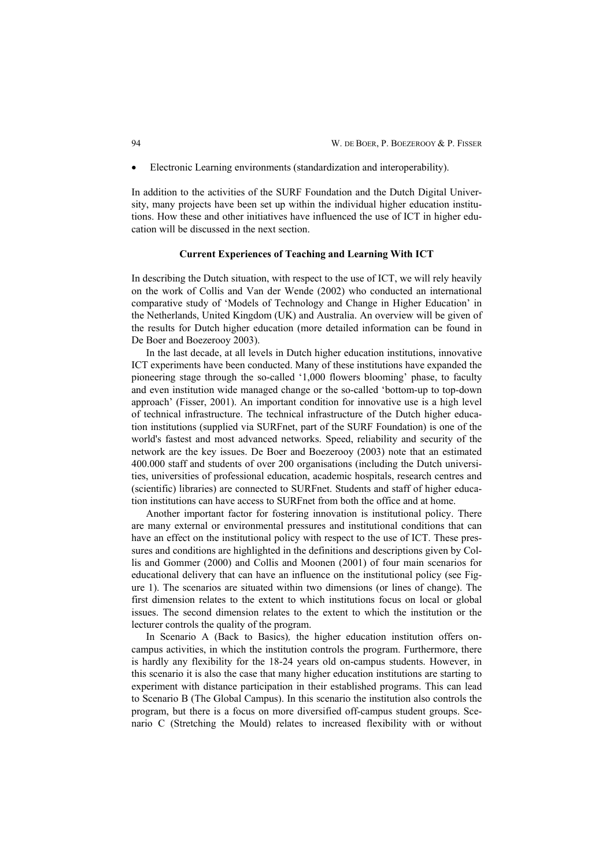• Electronic Learning environments (standardization and interoperability).

In addition to the activities of the SURF Foundation and the Dutch Digital University, many projects have been set up within the individual higher education institutions. How these and other initiatives have influenced the use of ICT in higher education will be discussed in the next section.

#### **Current Experiences of Teaching and Learning With ICT**

In describing the Dutch situation, with respect to the use of ICT, we will rely heavily on the work of Collis and Van der Wende (2002) who conducted an international comparative study of 'Models of Technology and Change in Higher Education' in the Netherlands, United Kingdom (UK) and Australia. An overview will be given of the results for Dutch higher education (more detailed information can be found in De Boer and Boezerooy 2003).

In the last decade, at all levels in Dutch higher education institutions, innovative ICT experiments have been conducted. Many of these institutions have expanded the pioneering stage through the so-called '1,000 flowers blooming' phase, to faculty and even institution wide managed change or the so-called 'bottom-up to top-down approach' (Fisser, 2001). An important condition for innovative use is a high level of technical infrastructure. The technical infrastructure of the Dutch higher education institutions (supplied via SURFnet, part of the SURF Foundation) is one of the world's fastest and most advanced networks. Speed, reliability and security of the network are the key issues. De Boer and Boezerooy (2003) note that an estimated 400.000 staff and students of over 200 organisations (including the Dutch universities, universities of professional education, academic hospitals, research centres and (scientific) libraries) are connected to SURFnet. Students and staff of higher education institutions can have access to SURFnet from both the office and at home.

Another important factor for fostering innovation is institutional policy. There are many external or environmental pressures and institutional conditions that can have an effect on the institutional policy with respect to the use of ICT. These pressures and conditions are highlighted in the definitions and descriptions given by Collis and Gommer (2000) and Collis and Moonen (2001) of four main scenarios for educational delivery that can have an influence on the institutional policy (see Figure 1). The scenarios are situated within two dimensions (or lines of change). The first dimension relates to the extent to which institutions focus on local or global issues. The second dimension relates to the extent to which the institution or the lecturer controls the quality of the program.

In Scenario A (Back to Basics)*,* the higher education institution offers oncampus activities, in which the institution controls the program. Furthermore, there is hardly any flexibility for the 18-24 years old on-campus students. However, in this scenario it is also the case that many higher education institutions are starting to experiment with distance participation in their established programs. This can lead to Scenario B (The Global Campus). In this scenario the institution also controls the program, but there is a focus on more diversified off-campus student groups. Scenario C (Stretching the Mould) relates to increased flexibility with or without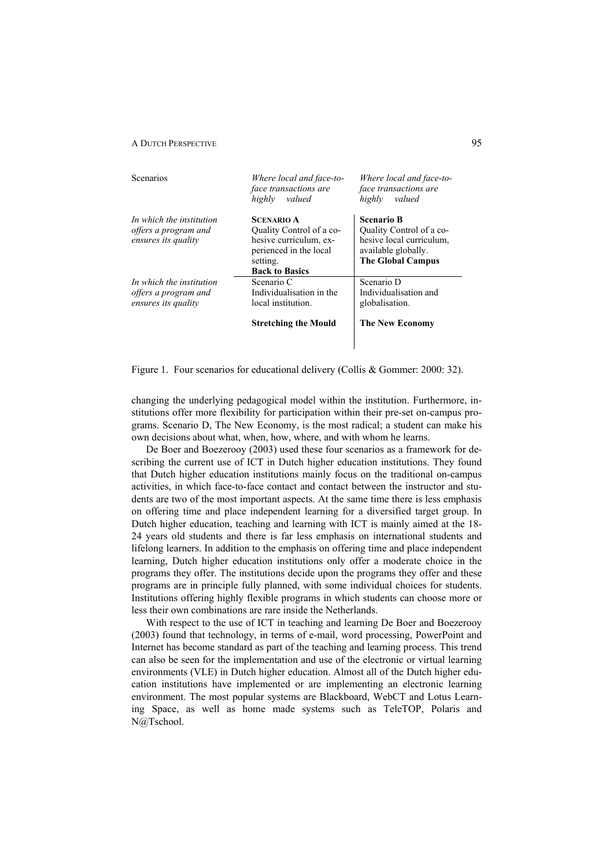| Scenarios                                                               | Where local and face-to-<br><i>face transactions are</i><br>valued<br>highly                                                           | Where local and face-to-<br>face transactions are<br>highly<br>valued                                                        |
|-------------------------------------------------------------------------|----------------------------------------------------------------------------------------------------------------------------------------|------------------------------------------------------------------------------------------------------------------------------|
| In which the institution<br>offers a program and<br>ensures its quality | <b>SCENARIO A</b><br>Quality Control of a co-<br>hesive curriculum, ex-<br>perienced in the local<br>setting.<br><b>Back to Basics</b> | <b>Scenario B</b><br>Quality Control of a co-<br>hesive local curriculum,<br>available globally.<br><b>The Global Campus</b> |
| In which the institution<br>offers a program and<br>ensures its quality | Scenario C<br>Individualisation in the<br>local institution.<br><b>Stretching the Mould</b>                                            | Scenario D<br>Individualisation and<br>globalisation.<br><b>The New Economy</b>                                              |

Figure 1. Four scenarios for educational delivery (Collis & Gommer: 2000: 32).

 $\overline{\phantom{a}}$ 

changing the underlying pedagogical model within the institution. Furthermore, institutions offer more flexibility for participation within their pre-set on-campus programs. Scenario D, The New Economy, is the most radical; a student can make his own decisions about what, when, how, where, and with whom he learns.

De Boer and Boezerooy (2003) used these four scenarios as a framework for describing the current use of ICT in Dutch higher education institutions. They found that Dutch higher education institutions mainly focus on the traditional on-campus activities, in which face-to-face contact and contact between the instructor and students are two of the most important aspects. At the same time there is less emphasis on offering time and place independent learning for a diversified target group. In Dutch higher education, teaching and learning with ICT is mainly aimed at the 18- 24 years old students and there is far less emphasis on international students and lifelong learners. In addition to the emphasis on offering time and place independent learning, Dutch higher education institutions only offer a moderate choice in the programs they offer. The institutions decide upon the programs they offer and these programs are in principle fully planned, with some individual choices for students. Institutions offering highly flexible programs in which students can choose more or less their own combinations are rare inside the Netherlands.

With respect to the use of ICT in teaching and learning De Boer and Boezerooy (2003) found that technology, in terms of e-mail, word processing, PowerPoint and Internet has become standard as part of the teaching and learning process. This trend can also be seen for the implementation and use of the electronic or virtual learning environments (VLE) in Dutch higher education. Almost all of the Dutch higher education institutions have implemented or are implementing an electronic learning environment. The most popular systems are Blackboard, WebCT and Lotus Learning Space, as well as home made systems such as TeleTOP, Polaris and N@Tschool.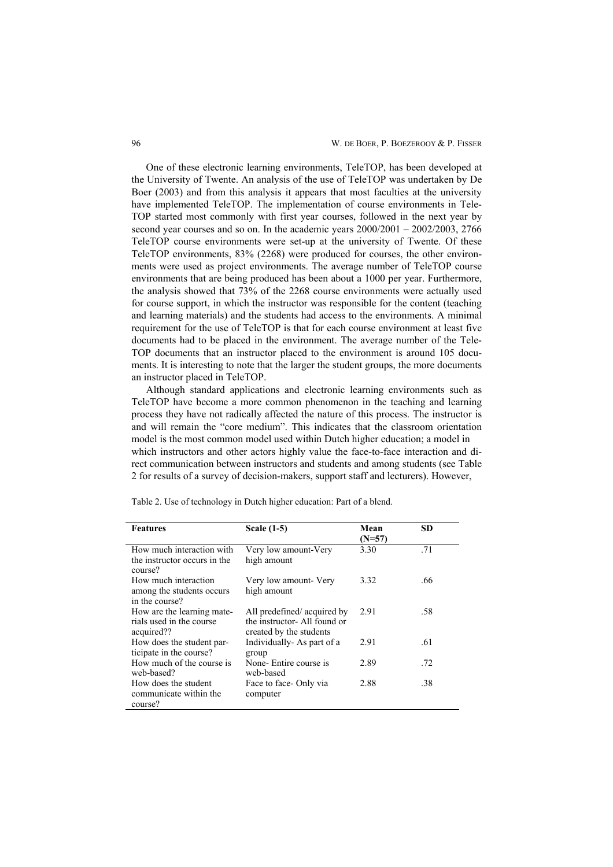One of these electronic learning environments, TeleTOP, has been developed at the University of Twente. An analysis of the use of TeleTOP was undertaken by De Boer (2003) and from this analysis it appears that most faculties at the university have implemented TeleTOP. The implementation of course environments in Tele-TOP started most commonly with first year courses, followed in the next year by second year courses and so on. In the academic years 2000/2001 – 2002/2003, 2766 TeleTOP course environments were set-up at the university of Twente. Of these TeleTOP environments, 83% (2268) were produced for courses, the other environments were used as project environments. The average number of TeleTOP course environments that are being produced has been about a 1000 per year. Furthermore, the analysis showed that 73% of the 2268 course environments were actually used for course support, in which the instructor was responsible for the content (teaching and learning materials) and the students had access to the environments. A minimal requirement for the use of TeleTOP is that for each course environment at least five documents had to be placed in the environment. The average number of the Tele-TOP documents that an instructor placed to the environment is around 105 documents. It is interesting to note that the larger the student groups, the more documents an instructor placed in TeleTOP.

Although standard applications and electronic learning environments such as TeleTOP have become a more common phenomenon in the teaching and learning process they have not radically affected the nature of this process. The instructor is and will remain the "core medium". This indicates that the classroom orientation model is the most common model used within Dutch higher education; a model in which instructors and other actors highly value the face-to-face interaction and direct communication between instructors and students and among students (see Table 2 for results of a survey of decision-makers, support staff and lecturers). However,

| <b>Features</b>                             | <b>Scale (1-5)</b>                                      | Mean     | <b>SD</b> |
|---------------------------------------------|---------------------------------------------------------|----------|-----------|
|                                             |                                                         | $(N=57)$ |           |
| How much interaction with                   | Very low amount-Very                                    | 3.30     | .71       |
| the instructor occurs in the<br>course?     | high amount                                             |          |           |
| How much interaction                        | Very low amount- Very                                   | 3.32     | .66       |
| among the students occurs<br>in the course? | high amount                                             |          |           |
| How are the learning mate-                  | All predefined/acquired by                              | 2.91     | .58       |
| rials used in the course<br>acquired??      | the instructor- All found or<br>created by the students |          |           |
| How does the student par-                   | Individually As part of a                               | 2.91     | .61       |
| ticipate in the course?                     | group                                                   |          |           |
| How much of the course is<br>web-based?     | None- Entire course is<br>web-based                     | 2.89     | .72       |
| How does the student                        | Face to face - Only via                                 | 2.88     | .38       |
| communicate within the<br>course?           | computer                                                |          |           |

Table 2. Use of technology in Dutch higher education: Part of a blend.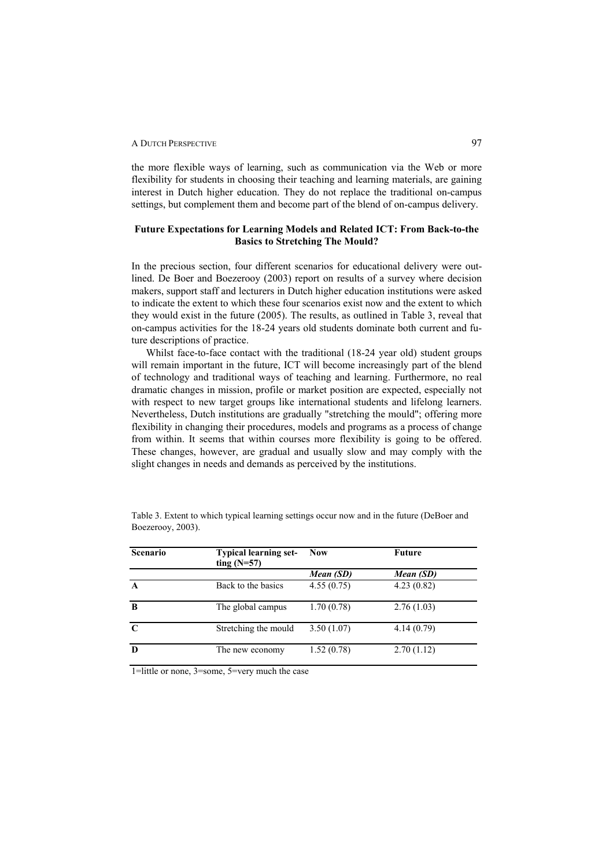the more flexible ways of learning, such as communication via the Web or more flexibility for students in choosing their teaching and learning materials, are gaining interest in Dutch higher education. They do not replace the traditional on-campus settings, but complement them and become part of the blend of on-campus delivery.

#### **Future Expectations for Learning Models and Related ICT: From Back-to-the Basics to Stretching The Mould?**

In the precious section, four different scenarios for educational delivery were outlined. De Boer and Boezerooy (2003) report on results of a survey where decision makers, support staff and lecturers in Dutch higher education institutions were asked to indicate the extent to which these four scenarios exist now and the extent to which they would exist in the future (2005). The results, as outlined in Table 3, reveal that on-campus activities for the 18-24 years old students dominate both current and future descriptions of practice.

Whilst face-to-face contact with the traditional (18-24 year old) student groups will remain important in the future, ICT will become increasingly part of the blend of technology and traditional ways of teaching and learning. Furthermore, no real dramatic changes in mission, profile or market position are expected, especially not with respect to new target groups like international students and lifelong learners. Nevertheless, Dutch institutions are gradually "stretching the mould"; offering more flexibility in changing their procedures, models and programs as a process of change from within. It seems that within courses more flexibility is going to be offered. These changes, however, are gradual and usually slow and may comply with the slight changes in needs and demands as perceived by the institutions.

| Scenario    | <b>Typical learning set-</b><br>ting $(N=57)$ | <b>Now</b> | Future     |
|-------------|-----------------------------------------------|------------|------------|
|             |                                               | Mean (SD)  | Mean (SD)  |
| $\mathbf A$ | Back to the basics                            | 4.55(0.75) | 4.23(0.82) |
| B           | The global campus                             | 1.70(0.78) | 2.76(1.03) |
| $\mathbf C$ | Stretching the mould                          | 3.50(1.07) | 4.14(0.79) |
| D           | The new economy                               | 1.52(0.78) | 2.70(1.12) |

Table 3. Extent to which typical learning settings occur now and in the future (DeBoer and Boezerooy, 2003).

1=little or none, 3=some, 5=very much the case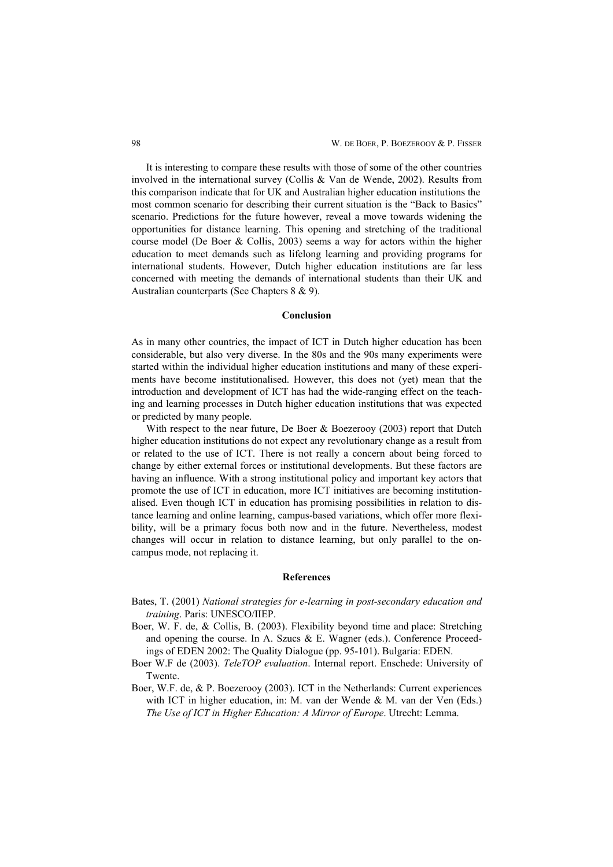It is interesting to compare these results with those of some of the other countries involved in the international survey (Collis & Van de Wende, 2002). Results from this comparison indicate that for UK and Australian higher education institutions the most common scenario for describing their current situation is the "Back to Basics" scenario. Predictions for the future however, reveal a move towards widening the opportunities for distance learning. This opening and stretching of the traditional course model (De Boer & Collis, 2003) seems a way for actors within the higher education to meet demands such as lifelong learning and providing programs for international students. However, Dutch higher education institutions are far less concerned with meeting the demands of international students than their UK and Australian counterparts (See Chapters 8 & 9).

#### **Conclusion**

As in many other countries, the impact of ICT in Dutch higher education has been considerable, but also very diverse. In the 80s and the 90s many experiments were started within the individual higher education institutions and many of these experiments have become institutionalised. However, this does not (yet) mean that the introduction and development of ICT has had the wide-ranging effect on the teaching and learning processes in Dutch higher education institutions that was expected or predicted by many people.

With respect to the near future, De Boer & Boezerooy (2003) report that Dutch higher education institutions do not expect any revolutionary change as a result from or related to the use of ICT. There is not really a concern about being forced to change by either external forces or institutional developments. But these factors are having an influence. With a strong institutional policy and important key actors that promote the use of ICT in education, more ICT initiatives are becoming institutionalised. Even though ICT in education has promising possibilities in relation to distance learning and online learning, campus-based variations, which offer more flexibility, will be a primary focus both now and in the future. Nevertheless, modest changes will occur in relation to distance learning, but only parallel to the oncampus mode, not replacing it.

#### **References**

- Bates, T. (2001) *National strategies for e-learning in post-secondary education and training*. Paris: UNESCO/IIEP.
- Boer, W. F. de, & Collis, B. (2003). Flexibility beyond time and place: Stretching and opening the course. In A. Szucs  $\&$  E. Wagner (eds.). Conference Proceedings of EDEN 2002: The Quality Dialogue (pp. 95-101). Bulgaria: EDEN.
- Boer W.F de (2003). *TeleTOP evaluation*. Internal report. Enschede: University of Twente.
- Boer, W.F. de, & P. Boezerooy (2003). ICT in the Netherlands: Current experiences with ICT in higher education, in: M. van der Wende & M. van der Ven (Eds.) *The Use of ICT in Higher Education: A Mirror of Europe*. Utrecht: Lemma.